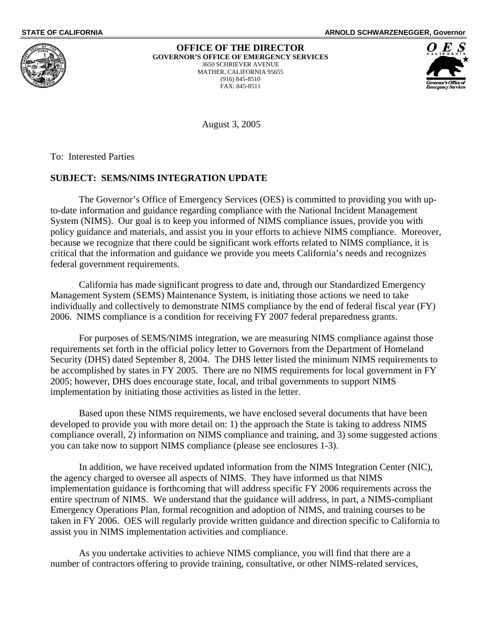

#### **OFFICE OF THE DIRECTOR GOVERNOR'S OFFICE OF EMERGENCY SERVICES**  3650 SCHRIEVER AVENUE

MATHER, CALIFORNIA 95655 (916) 845-8510 FAX: 845-8511

**STATE OF CALIFORNIA ARNOLD SCHWARZENEGGER, Governor**

August 3, 2005

To: Interested Parties

### **SUBJECT: SEMS/NIMS INTEGRATION UPDATE**

 The Governor's Office of Emergency Services (OES) is committed to providing you with upto-date information and guidance regarding compliance with the National Incident Management System (NIMS). Our goal is to keep you informed of NIMS compliance issues, provide you with policy guidance and materials, and assist you in your efforts to achieve NIMS compliance. Moreover, because we recognize that there could be significant work efforts related to NIMS compliance, it is critical that the information and guidance we provide you meets California's needs and recognizes federal government requirements.

California has made significant progress to date and, through our Standardized Emergency Management System (SEMS) Maintenance System, is initiating those actions we need to take individually and collectively to demonstrate NIMS compliance by the end of federal fiscal year (FY) 2006. NIMS compliance is a condition for receiving FY 2007 federal preparedness grants.

 For purposes of SEMS/NIMS integration, we are measuring NIMS compliance against those requirements set forth in the official policy letter to Governors from the Department of Homeland Security (DHS) dated September 8, 2004. The DHS letter listed the minimum NIMS requirements to be accomplished by states in FY 2005. There are no NIMS requirements for local government in FY 2005; however, DHS does encourage state, local, and tribal governments to support NIMS implementation by initiating those activities as listed in the letter.

 Based upon these NIMS requirements, we have enclosed several documents that have been developed to provide you with more detail on: 1) the approach the State is taking to address NIMS compliance overall, 2) information on NIMS compliance and training, and 3) some suggested actions you can take now to support NIMS compliance (please see enclosures 1-3).

 In addition, we have received updated information from the NIMS Integration Center (NIC), the agency charged to oversee all aspects of NIMS. They have informed us that NIMS implementation guidance is forthcoming that will address specific FY 2006 requirements across the entire spectrum of NIMS. We understand that the guidance will address, in part, a NIMS-compliant Emergency Operations Plan, formal recognition and adoption of NIMS, and training courses to be taken in FY 2006. OES will regularly provide written guidance and direction specific to California to assist you in NIMS implementation activities and compliance.

 As you undertake activities to achieve NIMS compliance, you will find that there are a number of contractors offering to provide training, consultative, or other NIMS-related services,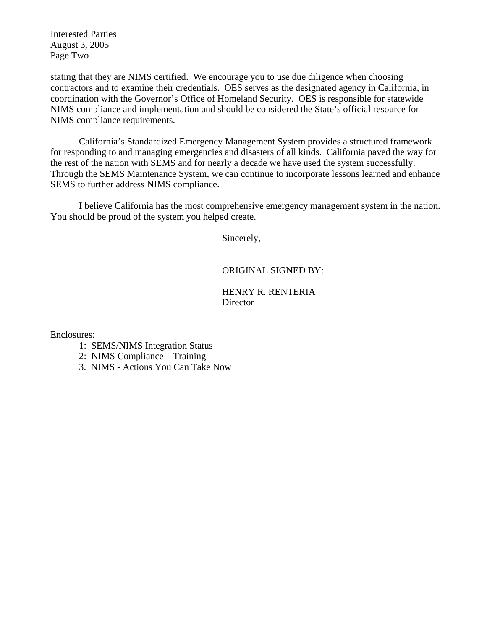Interested Parties August 3, 2005 Page Two

stating that they are NIMS certified. We encourage you to use due diligence when choosing contractors and to examine their credentials. OES serves as the designated agency in California, in coordination with the Governor's Office of Homeland Security. OES is responsible for statewide NIMS compliance and implementation and should be considered the State's official resource for NIMS compliance requirements.

 California's Standardized Emergency Management System provides a structured framework for responding to and managing emergencies and disasters of all kinds. California paved the way for the rest of the nation with SEMS and for nearly a decade we have used the system successfully. Through the SEMS Maintenance System, we can continue to incorporate lessons learned and enhance SEMS to further address NIMS compliance.

 I believe California has the most comprehensive emergency management system in the nation. You should be proud of the system you helped create.

Sincerely,

### ORIGINAL SIGNED BY:

HENRY R. RENTERIA **Director** 

Enclosures:

- 1: SEMS/NIMS Integration Status
- 2: NIMS Compliance Training
- 3. NIMS Actions You Can Take Now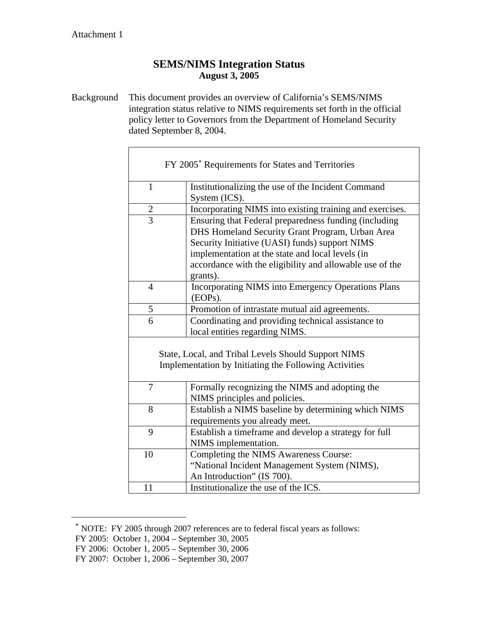r

### **SEMS/NIMS Integration Status August 3, 2005**

Background This document provides an overview of California's SEMS/NIMS integration status relative to NIMS requirements set forth in the official policy letter to Governors from the Department of Homeland Security dated September 8, 2004.

|                | FY 2005 <sup>*</sup> Requirements for States and Territories         |
|----------------|----------------------------------------------------------------------|
| $\mathbf{1}$   | Institutionalizing the use of the Incident Command<br>System (ICS).  |
| $\overline{2}$ | Incorporating NIMS into existing training and exercises.             |
| $\overline{3}$ | Ensuring that Federal preparedness funding (including                |
|                | DHS Homeland Security Grant Program, Urban Area                      |
|                | Security Initiative (UASI) funds) support NIMS                       |
|                | implementation at the state and local levels (in                     |
|                | accordance with the eligibility and allowable use of the<br>grants). |
| $\overline{4}$ | <b>Incorporating NIMS into Emergency Operations Plans</b><br>(EOPs). |
| 5              | Promotion of intrastate mutual aid agreements.                       |
| 6              | Coordinating and providing technical assistance to                   |
|                | local entities regarding NIMS.                                       |
|                |                                                                      |
|                | State, Local, and Tribal Levels Should Support NIMS                  |
|                | Implementation by Initiating the Following Activities                |
|                |                                                                      |
| 7              | Formally recognizing the NIMS and adopting the                       |
|                | NIMS principles and policies.                                        |
| 8              | Establish a NIMS baseline by determining which NIMS                  |
|                | requirements you already meet.                                       |
| 9              | Establish a timeframe and develop a strategy for full                |
|                | NIMS implementation.                                                 |
| 10             | Completing the NIMS Awareness Course:                                |
|                | "National Incident Management System (NIMS),                         |
|                | An Introduction" (IS 700).                                           |
| 11             | Institutionalize the use of the ICS.                                 |

<span id="page-2-0"></span><sup>∗</sup> NOTE: FY 2005 through 2007 references are to federal fiscal years as follows:

 $\overline{a}$ 

FY 2005: October 1, 2004 – September 30, 2005

FY 2006: October 1, 2005 – September 30, 2006

FY 2007: October 1, 2006 – September 30, 2007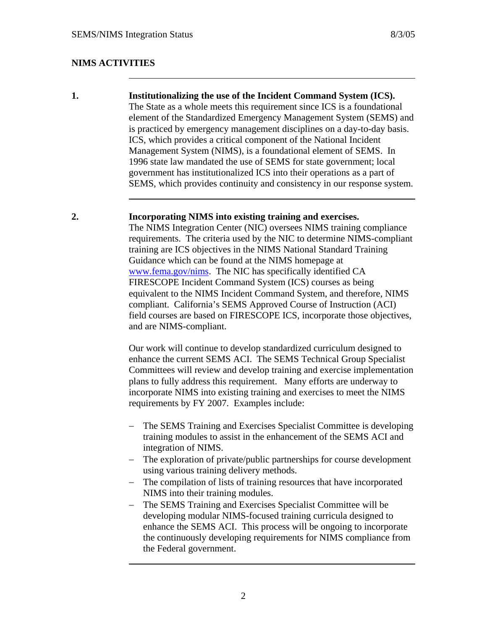$\overline{a}$ 

### **NIMS ACTIVITIES**

**1. Institutionalizing the use of the Incident Command System (ICS).**  The State as a whole meets this requirement since ICS is a foundational element of the Standardized Emergency Management System (SEMS) and is practiced by emergency management disciplines on a day-to-day basis. ICS, which provides a critical component of the National Incident Management System (NIMS), is a foundational element of SEMS. In 1996 state law mandated the use of SEMS for state government; local government has institutionalized ICS into their operations as a part of SEMS, which provides continuity and consistency in our response system.

#### **2. Incorporating NIMS into existing training and exercises.**

The NIMS Integration Center (NIC) oversees NIMS training compliance requirements. The criteria used by the NIC to determine NIMS-compliant training are ICS objectives in the NIMS National Standard Training Guidance which can be found at the NIMS homepage at [www.fema.gov/nims.](http://www.fema.gov/nims) The NIC has specifically identified CA FIRESCOPE Incident Command System (ICS) courses as being equivalent to the NIMS Incident Command System, and therefore, NIMS compliant. California's SEMS Approved Course of Instruction (ACI) field courses are based on FIRESCOPE ICS, incorporate those objectives, and are NIMS-compliant.

Our work will continue to develop standardized curriculum designed to enhance the current SEMS ACI. The SEMS Technical Group Specialist Committees will review and develop training and exercise implementation plans to fully address this requirement. Many efforts are underway to incorporate NIMS into existing training and exercises to meet the NIMS requirements by FY 2007. Examples include:

- The SEMS Training and Exercises Specialist Committee is developing training modules to assist in the enhancement of the SEMS ACI and integration of NIMS.
- − The exploration of private/public partnerships for course development using various training delivery methods.
- − The compilation of lists of training resources that have incorporated NIMS into their training modules.
- The SEMS Training and Exercises Specialist Committee will be developing modular NIMS-focused training curricula designed to enhance the SEMS ACI. This process will be ongoing to incorporate the continuously developing requirements for NIMS compliance from the Federal government.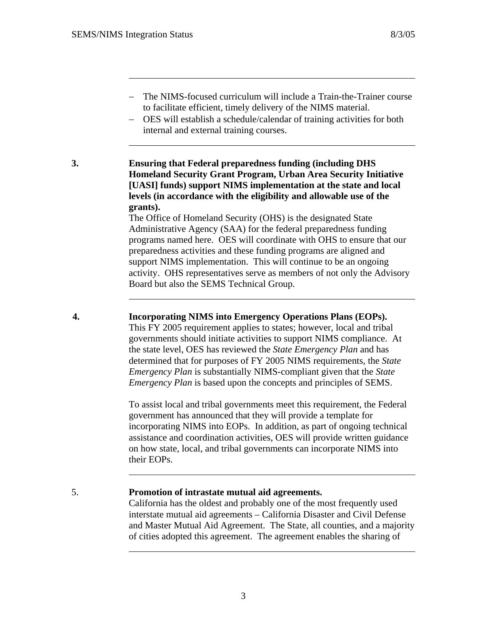$\overline{a}$ 

- − The NIMS-focused curriculum will include a Train-the-Trainer course to facilitate efficient, timely delivery of the NIMS material.
- − OES will establish a schedule/calendar of training activities for both internal and external training courses.

**3. Ensuring that Federal preparedness funding (including DHS Homeland Security Grant Program, Urban Area Security Initiative [UASI] funds) support NIMS implementation at the state and local levels (in accordance with the eligibility and allowable use of the grants).** 

The Office of Homeland Security (OHS) is the designated State Administrative Agency (SAA) for the federal preparedness funding programs named here. OES will coordinate with OHS to ensure that our preparedness activities and these funding programs are aligned and support NIMS implementation. This will continue to be an ongoing activity. OHS representatives serve as members of not only the Advisory Board but also the SEMS Technical Group.

**4. Incorporating NIMS into Emergency Operations Plans (EOPs).**  This FY 2005 requirement applies to states; however, local and tribal governments should initiate activities to support NIMS compliance. At the state level, OES has reviewed the *State Emergency Plan* and has determined that for purposes of FY 2005 NIMS requirements, the *State Emergency Plan* is substantially NIMS-compliant given that the *State Emergency Plan* is based upon the concepts and principles of SEMS.

> To assist local and tribal governments meet this requirement, the Federal government has announced that they will provide a template for incorporating NIMS into EOPs. In addition, as part of ongoing technical assistance and coordination activities, OES will provide written guidance on how state, local, and tribal governments can incorporate NIMS into their EOPs.

### 5. **Promotion of intrastate mutual aid agreements.**

 $\overline{a}$ 

California has the oldest and probably one of the most frequently used interstate mutual aid agreements – California Disaster and Civil Defense and Master Mutual Aid Agreement. The State, all counties, and a majority of cities adopted this agreement. The agreement enables the sharing of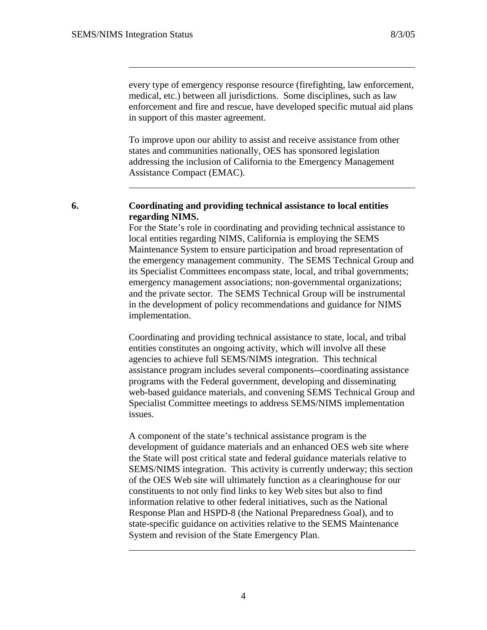every type of emergency response resource (firefighting, law enforcement, medical, etc.) between all jurisdictions. Some disciplines, such as law enforcement and fire and rescue, have developed specific mutual aid plans in support of this master agreement.

To improve upon our ability to assist and receive assistance from other states and communities nationally, OES has sponsored legislation addressing the inclusion of California to the Emergency Management Assistance Compact (EMAC).

### **6. Coordinating and providing technical assistance to local entities regarding NIMS.**

For the State's role in coordinating and providing technical assistance to local entities regarding NIMS, California is employing the SEMS Maintenance System to ensure participation and broad representation of the emergency management community. The SEMS Technical Group and its Specialist Committees encompass state, local, and tribal governments; emergency management associations; non-governmental organizations; and the private sector. The SEMS Technical Group will be instrumental in the development of policy recommendations and guidance for NIMS implementation.

Coordinating and providing technical assistance to state, local, and tribal entities constitutes an ongoing activity, which will involve all these agencies to achieve full SEMS/NIMS integration. This technical assistance program includes several components--coordinating assistance programs with the Federal government, developing and disseminating web-based guidance materials, and convening SEMS Technical Group and Specialist Committee meetings to address SEMS/NIMS implementation issues.

A component of the state's technical assistance program is the development of guidance materials and an enhanced OES web site where the State will post critical state and federal guidance materials relative to SEMS/NIMS integration. This activity is currently underway; this section of the OES Web site will ultimately function as a clearinghouse for our constituents to not only find links to key Web sites but also to find information relative to other federal initiatives, such as the National Response Plan and HSPD-8 (the National Preparedness Goal), and to state-specific guidance on activities relative to the SEMS Maintenance System and revision of the State Emergency Plan.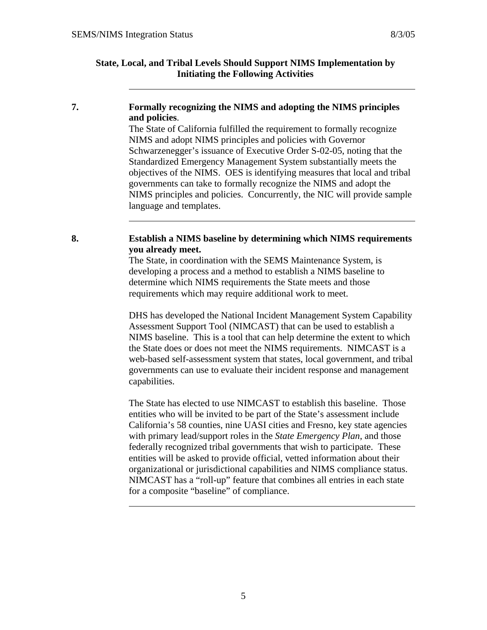### **State, Local, and Tribal Levels Should Support NIMS Implementation by Initiating the Following Activities**

### **7. Formally recognizing the NIMS and adopting the NIMS principles and policies**.

The State of California fulfilled the requirement to formally recognize NIMS and adopt NIMS principles and policies with Governor Schwarzenegger's issuance of Executive Order S-02-05, noting that the Standardized Emergency Management System substantially meets the objectives of the NIMS. OES is identifying measures that local and tribal governments can take to formally recognize the NIMS and adopt the NIMS principles and policies. Concurrently, the NIC will provide sample language and templates.

### **8. Establish a NIMS baseline by determining which NIMS requirements you already meet.**

The State, in coordination with the SEMS Maintenance System, is developing a process and a method to establish a NIMS baseline to determine which NIMS requirements the State meets and those requirements which may require additional work to meet.

DHS has developed the National Incident Management System Capability Assessment Support Tool (NIMCAST) that can be used to establish a NIMS baseline. This is a tool that can help determine the extent to which the State does or does not meet the NIMS requirements. NIMCAST is a web-based self-assessment system that states, local government, and tribal governments can use to evaluate their incident response and management capabilities.

The State has elected to use NIMCAST to establish this baseline. Those entities who will be invited to be part of the State's assessment include California's 58 counties, nine UASI cities and Fresno, key state agencies with primary lead/support roles in the *State Emergency Plan*, and those federally recognized tribal governments that wish to participate. These entities will be asked to provide official, vetted information about their organizational or jurisdictional capabilities and NIMS compliance status. NIMCAST has a "roll-up" feature that combines all entries in each state for a composite "baseline" of compliance.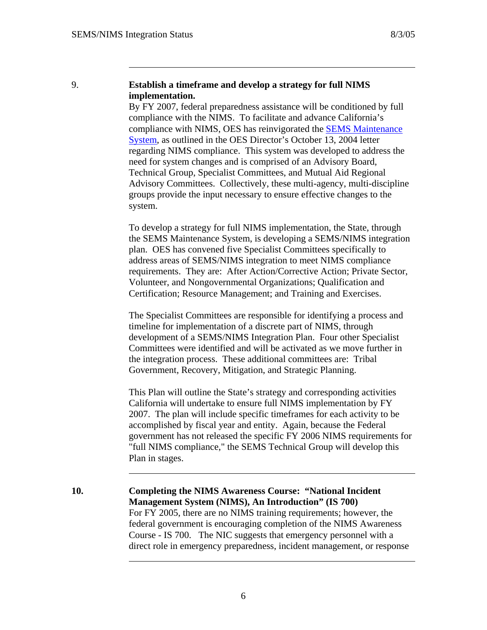$\overline{a}$ 

### 9. **Establish a timeframe and develop a strategy for full NIMS implementation.**

By FY 2007, federal preparedness assistance will be conditioned by full compliance with the NIMS. To facilitate and advance California's compliance with NIMS, OES has reinvigorated the [SEMS Maintenance](http://www.oes.ca.gov/Operational/OESHome.nsf/PDF/SEMS Guidelines/$file/MAINTS_1.pdf)  [System](http://www.oes.ca.gov/Operational/OESHome.nsf/PDF/SEMS Guidelines/$file/MAINTS_1.pdf), as outlined in the OES Director's October 13, 2004 letter regarding NIMS compliance. This system was developed to address the need for system changes and is comprised of an Advisory Board, Technical Group, Specialist Committees, and Mutual Aid Regional Advisory Committees. Collectively, these multi-agency, multi-discipline groups provide the input necessary to ensure effective changes to the system.

To develop a strategy for full NIMS implementation, the State, through the SEMS Maintenance System, is developing a SEMS/NIMS integration plan. OES has convened five Specialist Committees specifically to address areas of SEMS/NIMS integration to meet NIMS compliance requirements. They are: After Action/Corrective Action; Private Sector, Volunteer, and Nongovernmental Organizations; Qualification and Certification; Resource Management; and Training and Exercises.

The Specialist Committees are responsible for identifying a process and timeline for implementation of a discrete part of NIMS, through development of a SEMS/NIMS Integration Plan. Four other Specialist Committees were identified and will be activated as we move further in the integration process. These additional committees are: Tribal Government, Recovery, Mitigation, and Strategic Planning.

This Plan will outline the State's strategy and corresponding activities California will undertake to ensure full NIMS implementation by FY 2007. The plan will include specific timeframes for each activity to be accomplished by fiscal year and entity. Again, because the Federal government has not released the specific FY 2006 NIMS requirements for "full NIMS compliance," the SEMS Technical Group will develop this Plan in stages.

**10. Completing the NIMS Awareness Course: "National Incident Management System (NIMS), An Introduction" (IS 700)**  For FY 2005, there are no NIMS training requirements; however, the federal government is encouraging completion of the NIMS Awareness Course - IS 700. The NIC suggests that emergency personnel with a direct role in emergency preparedness, incident management, or response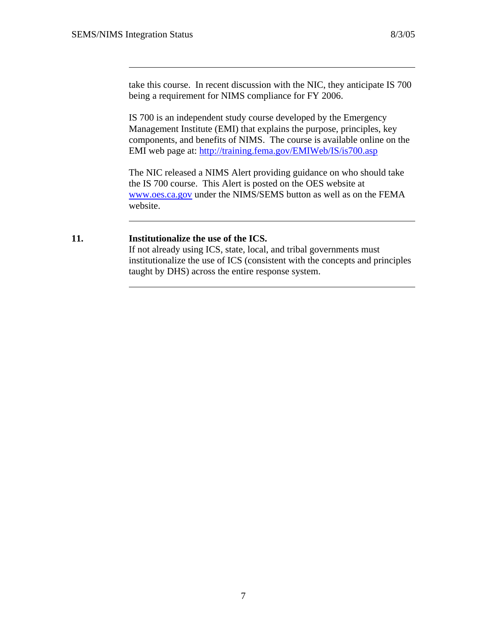take this course. In recent discussion with the NIC, they anticipate IS 700 being a requirement for NIMS compliance for FY 2006.

IS 700 is an independent study course developed by the Emergency Management Institute (EMI) that explains the purpose, principles, key components, and benefits of NIMS. The course is available online on the EMI web page at: <http://training.fema.gov/EMIWeb/IS/is700.asp>

The NIC released a NIMS Alert providing guidance on who should take the IS 700 course. This Alert is posted on the OES website at [www.oes.ca.gov](http://www.oes.ca.gov/) under the NIMS/SEMS button as well as on the FEMA website.

#### **11. Institutionalize the use of the ICS.**

If not already using ICS, state, local, and tribal governments must institutionalize the use of ICS (consistent with the concepts and principles taught by DHS) across the entire response system.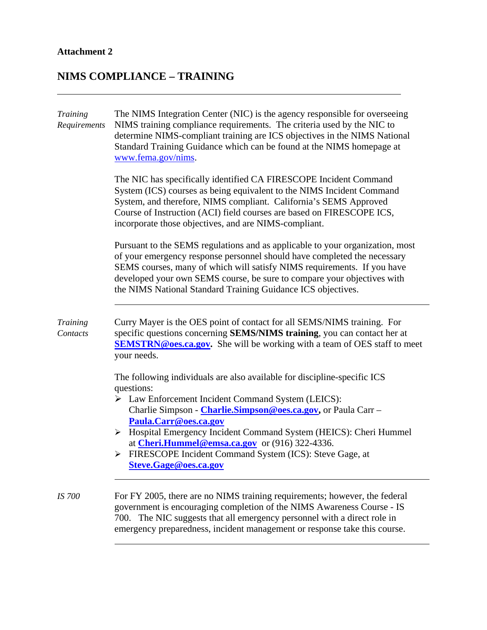## **Attachment 2**

l,

# **NIMS COMPLIANCE – TRAINING**

| <b>Training</b><br>Requirements | The NIMS Integration Center (NIC) is the agency responsible for overseeing<br>NIMS training compliance requirements. The criteria used by the NIC to<br>determine NIMS-compliant training are ICS objectives in the NIMS National<br>Standard Training Guidance which can be found at the NIMS homepage at<br>www.fema.gov/nims.                                                                                                                                        |
|---------------------------------|-------------------------------------------------------------------------------------------------------------------------------------------------------------------------------------------------------------------------------------------------------------------------------------------------------------------------------------------------------------------------------------------------------------------------------------------------------------------------|
|                                 | The NIC has specifically identified CA FIRESCOPE Incident Command<br>System (ICS) courses as being equivalent to the NIMS Incident Command<br>System, and therefore, NIMS compliant. California's SEMS Approved<br>Course of Instruction (ACI) field courses are based on FIRESCOPE ICS,<br>incorporate those objectives, and are NIMS-compliant.                                                                                                                       |
|                                 | Pursuant to the SEMS regulations and as applicable to your organization, most<br>of your emergency response personnel should have completed the necessary<br>SEMS courses, many of which will satisfy NIMS requirements. If you have<br>developed your own SEMS course, be sure to compare your objectives with<br>the NIMS National Standard Training Guidance ICS objectives.                                                                                         |
| <b>Training</b><br>Contacts     | Curry Mayer is the OES point of contact for all SEMS/NIMS training. For<br>specific questions concerning SEMS/NIMS training, you can contact her at<br><b>SEMSTRN@oes.ca.gov.</b> She will be working with a team of OES staff to meet<br>your needs.                                                                                                                                                                                                                   |
|                                 | The following individuals are also available for discipline-specific ICS<br>questions:<br>> Law Enforcement Incident Command System (LEICS):<br>Charlie Simpson - Charlie.Simpson@oes.ca.gov, or Paula Carr -<br>Paula.Carr@oes.ca.gov<br>> Hospital Emergency Incident Command System (HEICS): Cheri Hummel<br>at <b>Cheri.Hummel@emsa.ca.gov</b> or $(916)$ 322-4336.<br>FIRESCOPE Incident Command System (ICS): Steve Gage, at<br>➤<br><b>Steve.Gage@oes.ca.gov</b> |
| <b>IS 700</b>                   | For FY 2005, there are no NIMS training requirements; however, the federal<br>government is encouraging completion of the NIMS Awareness Course - IS<br>700. The NIC suggests that all emergency personnel with a direct role in<br>emergency preparedness, incident management or response take this course.                                                                                                                                                           |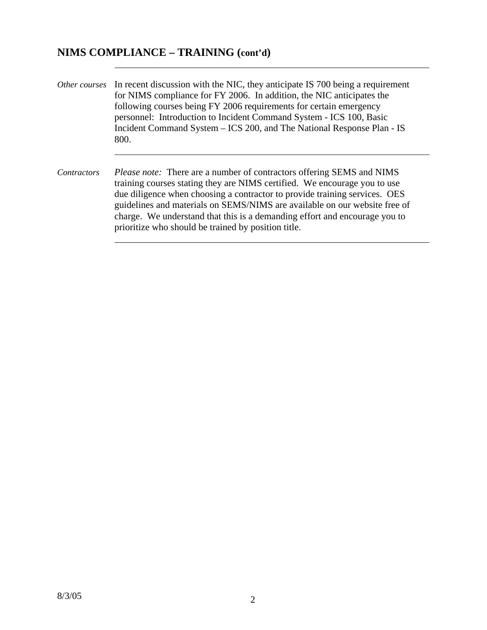## **NIMS COMPLIANCE – TRAINING (cont'd)**

 $\overline{a}$ 

- *Other courses* In recent discussion with the NIC, they anticipate IS 700 being a requirement for NIMS compliance for FY 2006. In addition, the NIC anticipates the following courses being FY 2006 requirements for certain emergency personnel: Introduction to Incident Command System - ICS 100, Basic Incident Command System – ICS 200, and The National Response Plan - IS 800.
- *Contractors Please note:* There are a number of contractors offering SEMS and NIMS training courses stating they are NIMS certified. We encourage you to use due diligence when choosing a contractor to provide training services. OES guidelines and materials on SEMS/NIMS are available on our website free of charge. We understand that this is a demanding effort and encourage you to prioritize who should be trained by position title.